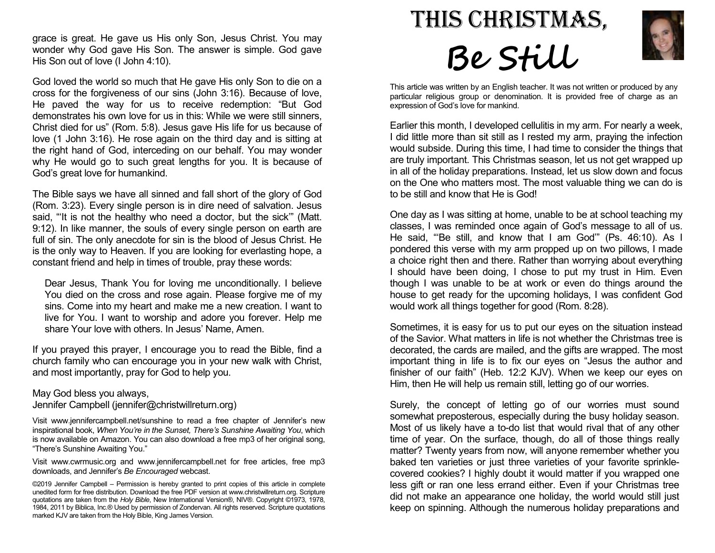grace is great. He gave us His only Son, Jesus Christ. You may wonder why God gave His Son. The answer is simple. God gave His Son out of love (I John 4:10).

God loved the world so much that He gave His only Son to die on a cross for the forgiveness of our sins (John 3:16). Because of love, He paved the way for us to receive redemption: "But God demonstrates his own love for us in this: While we were still sinners, Christ died for us" (Rom. 5:8). Jesus gave His life for us because of love (1 John 3:16). He rose again on the third day and is sitting at the right hand of God, interceding on our behalf. You may wonder why He would go to such great lengths for you. It is because of God's great love for humankind.

The Bible says we have all sinned and fall short of the glory of God (Rom. 3:23). Every single person is in dire need of salvation. Jesus said, "'It is not the healthy who need a doctor, but the sick'" (Matt. 9:12). In like manner, the souls of every single person on earth are full of sin. The only anecdote for sin is the blood of Jesus Christ. He is the only way to Heaven. If you are looking for everlasting hope, a constant friend and help in times of trouble, pray these words:

Dear Jesus, Thank You for loving me unconditionally. I believe You died on the cross and rose again. Please forgive me of my sins. Come into my heart and make me a new creation. I want to live for You. I want to worship and adore you forever. Help me share Your love with others. In Jesus' Name, Amen.

If you prayed this prayer, I encourage you to read the Bible, find a church family who can encourage you in your new walk with Christ, and most importantly, pray for God to help you.

## May God bless you always,

Jennifer Campbell (jennifer@christwillreturn.org)

Visit www.jennifercampbell.net/sunshine to read a free chapter of Jennifer's new inspirational book, When You're in the Sunset, There's Sunshine Awaiting You, which is now available on Amazon. You can also download a free mp3 of her original song, "There's Sunshine Awaiting You."

Visit www.cwrmusic.org and www.jennifercampbell.net for free articles, free mp3 downloads, and Jennifer's Be Encouraged webcast.

©2019 Jennifer Campbell – Permission is hereby granted to print copies of this article in complete unedited form for free distribution. Download the free PDF version at www.christwillreturn.org. Scripture quotations are taken from the Holy Bible, New International Version®, NIV®. Copyright ©1973, 1978, 1984, 2011 by Biblica, Inc.® Used by permission of Zondervan. All rights reserved. Scripture quotations marked KJV are taken from the Holy Bible, King James Version.





This article was written by an English teacher. It was not written or produced by any particular religious group or denomination. It is provided free of charge as an expression of God's love for mankind.

Earlier this month, I developed cellulitis in my arm. For nearly a week, I did little more than sit still as I rested my arm, praying the infection would subside. During this time, I had time to consider the things that are truly important. This Christmas season, let us not get wrapped up in all of the holiday preparations. Instead, let us slow down and focus on the One who matters most. The most valuable thing we can do is to be still and know that He is God!

One day as I was sitting at home, unable to be at school teaching my classes, I was reminded once again of God's message to all of us. He said, "'Be still, and know that I am God'" (Ps. 46:10). As I pondered this verse with my arm propped up on two pillows, I made a choice right then and there. Rather than worrying about everything I should have been doing, I chose to put my trust in Him. Even though I was unable to be at work or even do things around the house to get ready for the upcoming holidays, I was confident God would work all things together for good (Rom. 8:28).

Sometimes, it is easy for us to put our eyes on the situation instead of the Savior. What matters in life is not whether the Christmas tree is decorated, the cards are mailed, and the gifts are wrapped. The most important thing in life is to fix our eyes on "Jesus the author and finisher of our faith" (Heb. 12:2 KJV). When we keep our eyes on Him, then He will help us remain still, letting go of our worries.

Surely, the concept of letting go of our worries must sound somewhat preposterous, especially during the busy holiday season. Most of us likely have a to-do list that would rival that of any other time of year. On the surface, though, do all of those things really matter? Twenty years from now, will anyone remember whether you baked ten varieties or just three varieties of your favorite sprinklecovered cookies? I highly doubt it would matter if you wrapped one less gift or ran one less errand either. Even if your Christmas tree did not make an appearance one holiday, the world would still just keep on spinning. Although the numerous holiday preparations and